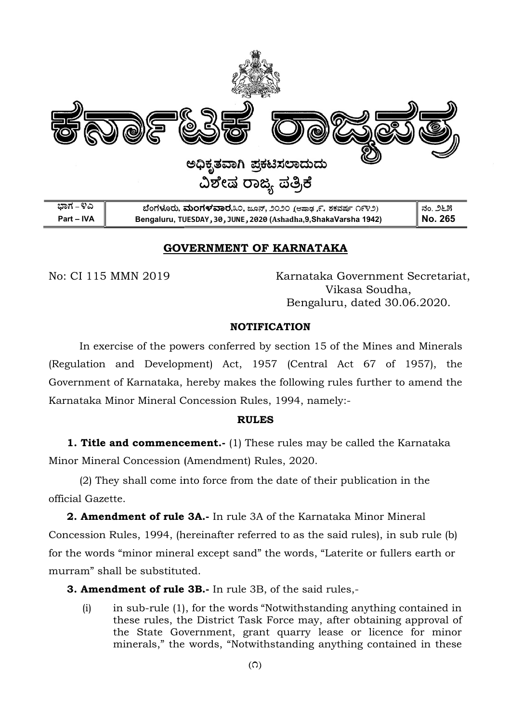

## GOVERNMENT OF KARNATAKA GOVERNMENT

No: CI 115 MMN 2019

 Karnataka Government Secretariat, Vikasa Soudha, Bengaluru, dated 30 30.06.2020.

#### **NOTIFICATION**

In exercise of the powers conferred by section 15 of the Mines and Minerals (Regulation and Development) Act, 1957 (Central Act 67 of 1957), the<br>Government of Karnataka, hereby makes the following rules further to amend the<br>Karnataka Minor Mineral Concession Rules, 1994, namely:-Government of Karnataka, hereby makes the following rules further to amend the Karnataka Minor Mineral Concession Rules, 1994, nam (a.s., 2020 (stand), 9.5335 (stand), 9.5335 (stand), 9.5335 (stand), 9.5 (a.s.)<br>
1982, 2029 (Ashadha,9,ShakaVarsha 1942)<br>
2029 (Ashadha,9,ShakaVarsha 1942)<br>
2029 (Ashadha,9,ShakaVarsha 1942)<br>
2027 Example 11 (Contral Act 6

#### RULES

**1. Title and commencement.**- (1) These rules may be called the Karnataka Minor Mineral Concession (Amendment) Rules, 20 2020.

(2) They shall come into force from the date of their publication in the official Gazette.

2. Amendment of rule 3A.- In rule 3A of the Karnataka Minor Mineral Concession Rules, 1994, (hereinafter referred to as the said rules), in sub rule (b) for the words "minor mineral except sand" the words, "Laterite or fullers earth or murram" shall be substituted.

**3. Amendment of rule 3B.**- In rule 3B, of the said rules,-

 $(i)$  in sub-rule  $(1)$ , for the words "Notwithstanding anything contained in these rules, the District Task Force may, after obtaining approval of the State Government, grant quarry lease or licence for minor these rules, the District Task Force may, after obtaining approval of<br>the State Government, grant quarry lease or licence for minor<br>minerals," the words, "Notwithstanding anything contained in these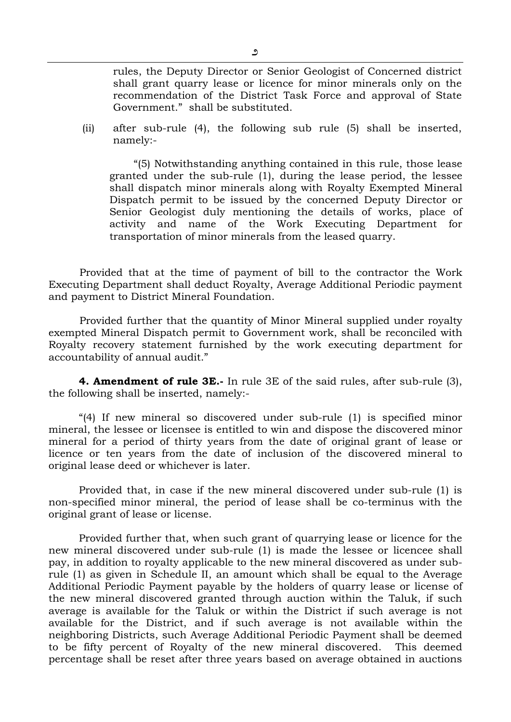rules, the Deputy Director or Senior Geologist of Concerned district shall grant quarry lease or licence for minor minerals only on the recommendation of the District Task Force and approval of State Government." shall be substituted.

(ii) after sub-rule (4), the following sub rule (5) shall be inserted, namely:-

"(5) Notwithstanding anything contained in this rule, those lease granted under the sub-rule (1), during the lease period, the lessee shall dispatch minor minerals along with Royalty Exempted Mineral Dispatch permit to be issued by the concerned Deputy Director or Senior Geologist duly mentioning the details of works, place of activity and name of the Work Executing Department for transportation of minor minerals from the leased quarry.

Provided that at the time of payment of bill to the contractor the Work Executing Department shall deduct Royalty, Average Additional Periodic payment and payment to District Mineral Foundation.

Provided further that the quantity of Minor Mineral supplied under royalty exempted Mineral Dispatch permit to Government work, shall be reconciled with Royalty recovery statement furnished by the work executing department for accountability of annual audit."

4. Amendment of rule 3E.- In rule 3E of the said rules, after sub-rule (3), the following shall be inserted, namely:-

"(4) If new mineral so discovered under sub-rule (1) is specified minor mineral, the lessee or licensee is entitled to win and dispose the discovered minor mineral for a period of thirty years from the date of original grant of lease or licence or ten years from the date of inclusion of the discovered mineral to original lease deed or whichever is later.

Provided that, in case if the new mineral discovered under sub-rule (1) is non-specified minor mineral, the period of lease shall be co-terminus with the original grant of lease or license.

Provided further that, when such grant of quarrying lease or licence for the new mineral discovered under sub-rule (1) is made the lessee or licencee shall pay, in addition to royalty applicable to the new mineral discovered as under subrule (1) as given in Schedule II, an amount which shall be equal to the Average Additional Periodic Payment payable by the holders of quarry lease or license of the new mineral discovered granted through auction within the Taluk, if such average is available for the Taluk or within the District if such average is not available for the District, and if such average is not available within the neighboring Districts, such Average Additional Periodic Payment shall be deemed to be fifty percent of Royalty of the new mineral discovered. This deemed percentage shall be reset after three years based on average obtained in auctions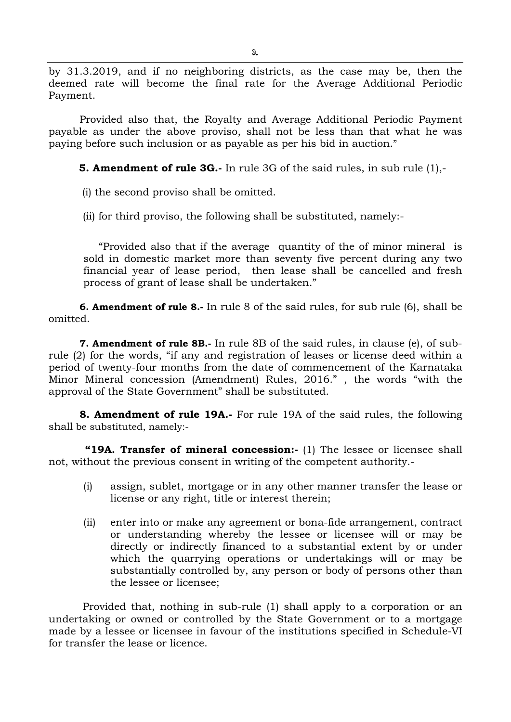by 31.3.2019, and if no neighboring districts, as the case may be, then the deemed rate will become the final rate for the Average Additional Periodic Payment.

Provided also that, the Royalty and Average Additional Periodic Payment payable as under the above proviso, shall not be less than that what he was paying before such inclusion or as payable as per his bid in auction."

**5. Amendment of rule 3G.-** In rule 3G of the said rules, in sub rule  $(1)$ ,-

(i) the second proviso shall be omitted.

(ii) for third proviso, the following shall be substituted, namely:-

"Provided also that if the average quantity of the of minor mineral is sold in domestic market more than seventy five percent during any two financial year of lease period, then lease shall be cancelled and fresh process of grant of lease shall be undertaken."

6. Amendment of rule 8.- In rule 8 of the said rules, for sub rule (6), shall be omitted.

7. Amendment of rule 8B.- In rule 8B of the said rules, in clause (e), of subrule (2) for the words, "if any and registration of leases or license deed within a period of twenty-four months from the date of commencement of the Karnataka Minor Mineral concession (Amendment) Rules, 2016." , the words "with the approval of the State Government" shall be substituted.

8. Amendment of rule 19A.- For rule 19A of the said rules, the following shall be substituted, namely:-

"19A. Transfer of mineral concession:- (1) The lessee or licensee shall not, without the previous consent in writing of the competent authority.-

- (i) assign, sublet, mortgage or in any other manner transfer the lease or license or any right, title or interest therein;
- (ii) enter into or make any agreement or bona-fide arrangement, contract or understanding whereby the lessee or licensee will or may be directly or indirectly financed to a substantial extent by or under which the quarrying operations or undertakings will or may be substantially controlled by, any person or body of persons other than the lessee or licensee;

 Provided that, nothing in sub-rule (1) shall apply to a corporation or an undertaking or owned or controlled by the State Government or to a mortgage made by a lessee or licensee in favour of the institutions specified in Schedule-VI for transfer the lease or licence.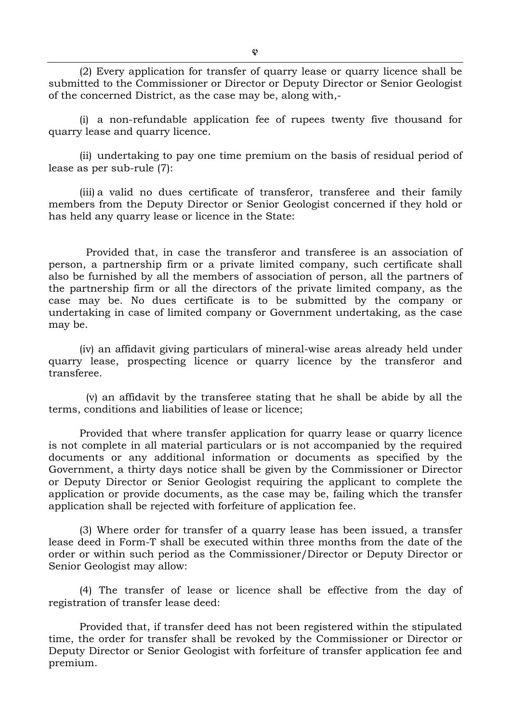(2) Every application for transfer of quarry lease or quarry licence shall be submitted to the Commissioner or Director or Deputy Director or Senior Geologist of the concerned District, as the case may be, along with,-

(i) a non-refundable application fee of rupees twenty five thousand for quarry lease and quarry licence.

(ii) undertaking to pay one time premium on the basis of residual period of lease as per sub-rule (7):

(iii) a valid no dues certificate of transferor, transferee and their family members from the Deputy Director or Senior Geologist concerned if they hold or has held any quarry lease or licence in the State:

 Provided that, in case the transferor and transferee is an association of person, a partnership firm or a private limited company, such certificate shall also be furnished by all the members of association of person, all the partners of the partnership firm or all the directors of the private limited company, as the case may be. No dues certificate is to be submitted by the company or undertaking in case of limited company or Government undertaking, as the case may be.

(iv) an affidavit giving particulars of mineral-wise areas already held under quarry lease, prospecting licence or quarry licence by the transferor and transferee.

 (v) an affidavit by the transferee stating that he shall be abide by all the terms, conditions and liabilities of lease or licence;

Provided that where transfer application for quarry lease or quarry licence is not complete in all material particulars or is not accompanied by the required documents or any additional information or documents as specified by the Government, a thirty days notice shall be given by the Commissioner or Director or Deputy Director or Senior Geologist requiring the applicant to complete the application or provide documents, as the case may be, failing which the transfer application shall be rejected with forfeiture of application fee.

(3) Where order for transfer of a quarry lease has been issued, a transfer lease deed in Form-T shall be executed within three months from the date of the order or within such period as the Commissioner/Director or Deputy Director or Senior Geologist may allow:

(4) The transfer of lease or licence shall be effective from the day of registration of transfer lease deed:

Provided that, if transfer deed has not been registered within the stipulated time, the order for transfer shall be revoked by the Commissioner or Director or Deputy Director or Senior Geologist with forfeiture of transfer application fee and premium.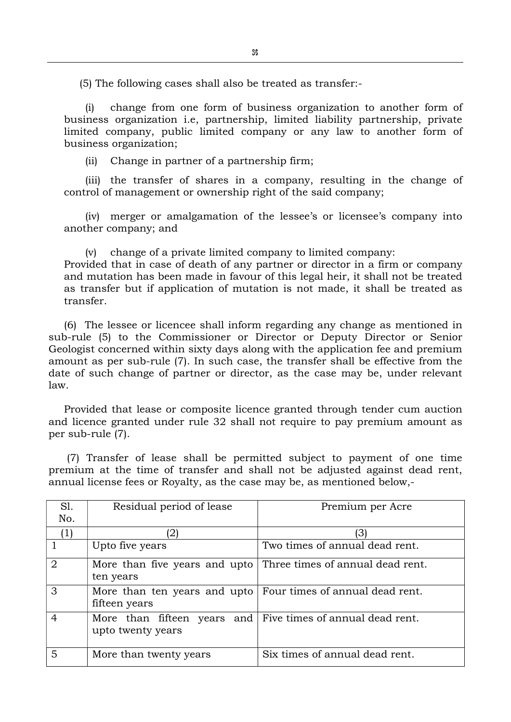(5) The following cases shall also be treated as transfer:-

(i) change from one form of business organization to another form of business organization i.e, partnership, limited liability partnership, private limited company, public limited company or any law to another form of business organization;

(ii) Change in partner of a partnership firm;

(iii) the transfer of shares in a company, resulting in the change of control of management or ownership right of the said company;

(iv) merger or amalgamation of the lessee's or licensee's company into another company; and

(v) change of a private limited company to limited company: Provided that in case of death of any partner or director in a firm or company and mutation has been made in favour of this legal heir, it shall not be treated as transfer but if application of mutation is not made, it shall be treated as transfer.

(6) The lessee or licencee shall inform regarding any change as mentioned in sub-rule (5) to the Commissioner or Director or Deputy Director or Senior Geologist concerned within sixty days along with the application fee and premium amount as per sub-rule (7). In such case, the transfer shall be effective from the date of such change of partner or director, as the case may be, under relevant law.

Provided that lease or composite licence granted through tender cum auction and licence granted under rule 32 shall not require to pay premium amount as per sub-rule (7).

(7) Transfer of lease shall be permitted subject to payment of one time premium at the time of transfer and shall not be adjusted against dead rent, annual license fees or Royalty, as the case may be, as mentioned below,-

| Sl.<br>No.        | Residual period of lease                                                         | Premium per Acre                                               |
|-------------------|----------------------------------------------------------------------------------|----------------------------------------------------------------|
| $\left( 1\right)$ | '2)                                                                              | '31                                                            |
|                   | Upto five years                                                                  | Two times of annual dead rent.                                 |
| $\overline{2}$    | More than five years and upto<br>ten years                                       | Three times of annual dead rent.                               |
| 3                 | fifteen years                                                                    | More than ten years and upto   Four times of annual dead rent. |
| $\overline{4}$    | More than fifteen years and Five times of annual dead rent.<br>upto twenty years |                                                                |
| 5                 | More than twenty years                                                           | Six times of annual dead rent.                                 |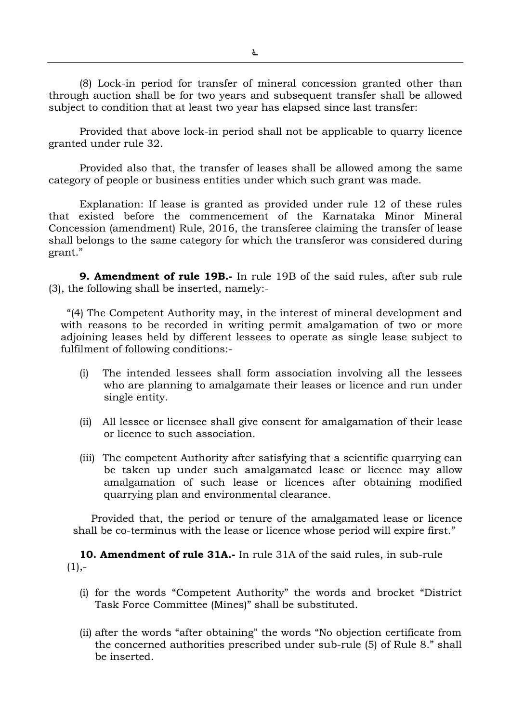(8) Lock-in period for transfer of mineral concession granted other than through auction shall be for two years and subsequent transfer shall be allowed subject to condition that at least two year has elapsed since last transfer:

 Provided that above lock-in period shall not be applicable to quarry licence granted under rule 32.

Provided also that, the transfer of leases shall be allowed among the same category of people or business entities under which such grant was made.

Explanation: If lease is granted as provided under rule 12 of these rules that existed before the commencement of the Karnataka Minor Mineral Concession (amendment) Rule, 2016, the transferee claiming the transfer of lease shall belongs to the same category for which the transferor was considered during grant."

9. Amendment of rule 19B.- In rule 19B of the said rules, after sub rule (3), the following shall be inserted, namely:-

"(4) The Competent Authority may, in the interest of mineral development and with reasons to be recorded in writing permit amalgamation of two or more adjoining leases held by different lessees to operate as single lease subject to fulfilment of following conditions:-

- (i) The intended lessees shall form association involving all the lessees who are planning to amalgamate their leases or licence and run under single entity.
- (ii) All lessee or licensee shall give consent for amalgamation of their lease or licence to such association.
- (iii) The competent Authority after satisfying that a scientific quarrying can be taken up under such amalgamated lease or licence may allow amalgamation of such lease or licences after obtaining modified quarrying plan and environmental clearance.

Provided that, the period or tenure of the amalgamated lease or licence shall be co-terminus with the lease or licence whose period will expire first."

10. Amendment of rule 31A.- In rule 31A of the said rules, in sub-rule  $(1), -$ 

- (i) for the words "Competent Authority" the words and brocket "District Task Force Committee (Mines)" shall be substituted.
- (ii) after the words "after obtaining" the words "No objection certificate from the concerned authorities prescribed under sub-rule (5) of Rule 8." shall be inserted.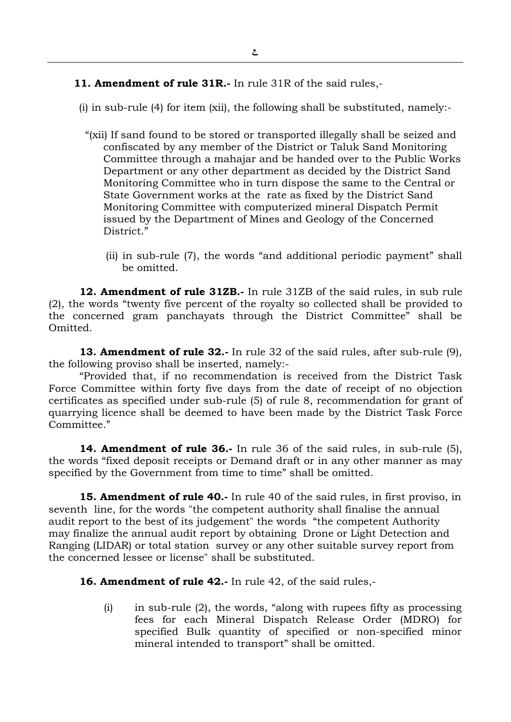11. Amendment of rule 31R.- In rule 31R of the said rules,-

(i) in sub-rule (4) for item (xii), the following shall be substituted, namely:-

- "(xii) If sand found to be stored or transported illegally shall be seized and confiscated by any member of the District or Taluk Sand Monitoring Committee through a mahajar and be handed over to the Public Works Department or any other department as decided by the District Sand Monitoring Committee who in turn dispose the same to the Central or State Government works at the rate as fixed by the District Sand Monitoring Committee with computerized mineral Dispatch Permit issued by the Department of Mines and Geology of the Concerned District<sup>"</sup>
	- (ii) in sub-rule (7), the words "and additional periodic payment" shall be omitted.

12. Amendment of rule 31ZB.- In rule 31ZB of the said rules, in sub rule (2), the words "twenty five percent of the royalty so collected shall be provided to the concerned gram panchayats through the District Committee" shall be Omitted.

13. Amendment of rule 32.- In rule 32 of the said rules, after sub-rule (9), the following proviso shall be inserted, namely:-

"Provided that, if no recommendation is received from the District Task Force Committee within forty five days from the date of receipt of no objection certificates as specified under sub-rule (5) of rule 8, recommendation for grant of quarrying licence shall be deemed to have been made by the District Task Force Committee."

14. Amendment of rule 36.- In rule 36 of the said rules, in sub-rule (5), the words "fixed deposit receipts or Demand draft or in any other manner as may specified by the Government from time to time" shall be omitted.

15. Amendment of rule 40.- In rule 40 of the said rules, in first proviso, in seventh line, for the words "the competent authority shall finalise the annual audit report to the best of its judgement" the words "the competent Authority may finalize the annual audit report by obtaining Drone or Light Detection and Ranging (LIDAR) or total station survey or any other suitable survey report from the concerned lessee or license" shall be substituted.

16. Amendment of rule 42.- In rule 42, of the said rules,-

(i) in sub-rule (2), the words, "along with rupees fifty as processing fees for each Mineral Dispatch Release Order (MDRO) for specified Bulk quantity of specified or non-specified minor mineral intended to transport" shall be omitted.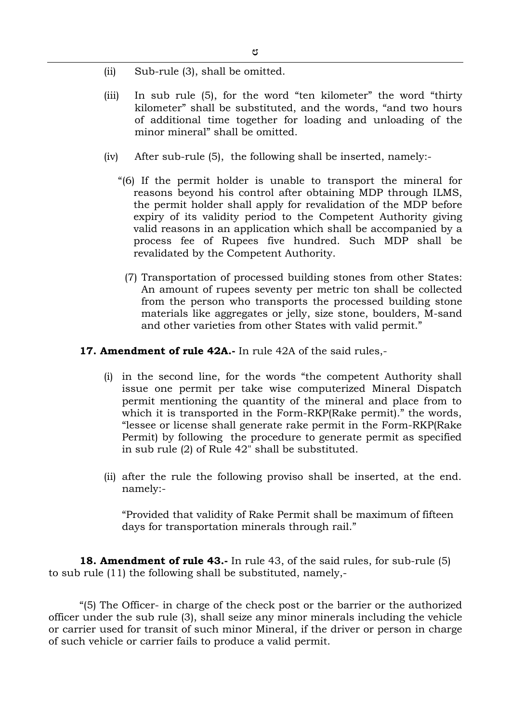- (ii) Sub-rule (3), shall be omitted.
- (iii) In sub rule (5), for the word "ten kilometer" the word "thirty kilometer" shall be substituted, and the words, "and two hours of additional time together for loading and unloading of the minor mineral" shall be omitted.
- (iv) After sub-rule (5), the following shall be inserted, namely:-
	- "(6) If the permit holder is unable to transport the mineral for reasons beyond his control after obtaining MDP through ILMS, the permit holder shall apply for revalidation of the MDP before expiry of its validity period to the Competent Authority giving valid reasons in an application which shall be accompanied by a process fee of Rupees five hundred. Such MDP shall be revalidated by the Competent Authority.
		- (7) Transportation of processed building stones from other States: An amount of rupees seventy per metric ton shall be collected from the person who transports the processed building stone materials like aggregates or jelly, size stone, boulders, M-sand and other varieties from other States with valid permit."

### 17. Amendment of rule 42A.- In rule 42A of the said rules,-

- (i) in the second line, for the words "the competent Authority shall issue one permit per take wise computerized Mineral Dispatch permit mentioning the quantity of the mineral and place from to which it is transported in the Form-RKP(Rake permit)." the words, "lessee or license shall generate rake permit in the Form-RKP(Rake Permit) by following the procedure to generate permit as specified in sub rule (2) of Rule 42" shall be substituted.
- (ii) after the rule the following proviso shall be inserted, at the end. namely:-

"Provided that validity of Rake Permit shall be maximum of fifteen days for transportation minerals through rail."

18. Amendment of rule 43.- In rule 43, of the said rules, for sub-rule (5) to sub rule (11) the following shall be substituted, namely,-

"(5) The Officer- in charge of the check post or the barrier or the authorized officer under the sub rule (3), shall seize any minor minerals including the vehicle or carrier used for transit of such minor Mineral, if the driver or person in charge of such vehicle or carrier fails to produce a valid permit.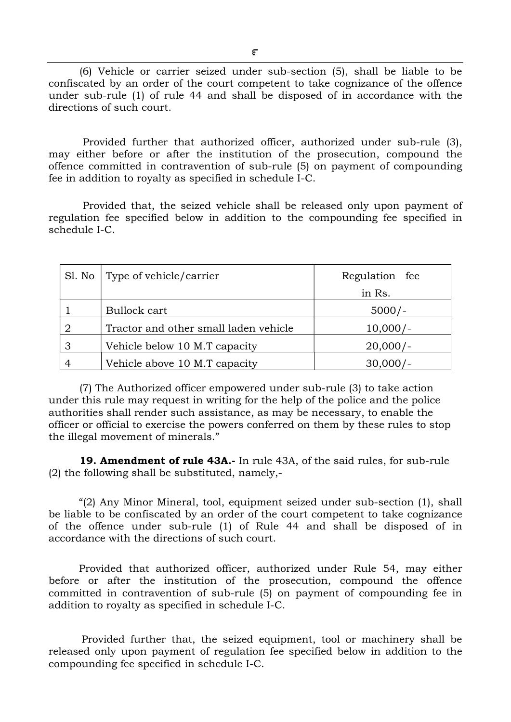(6) Vehicle or carrier seized under sub-section (5), shall be liable to be confiscated by an order of the court competent to take cognizance of the offence under sub-rule (1) of rule 44 and shall be disposed of in accordance with the directions of such court.

 Provided further that authorized officer, authorized under sub-rule (3), may either before or after the institution of the prosecution, compound the offence committed in contravention of sub-rule (5) on payment of compounding fee in addition to royalty as specified in schedule I-C.

 Provided that, the seized vehicle shall be released only upon payment of regulation fee specified below in addition to the compounding fee specified in schedule I-C.

| Sl. No | Type of vehicle/carrier               | Regulation fee |
|--------|---------------------------------------|----------------|
|        |                                       | in Rs.         |
|        | Bullock cart                          | $5000/-$       |
| 2      | Tractor and other small laden vehicle | $10,000/-$     |
| 3      | Vehicle below 10 M.T capacity         | $20,000/-$     |
|        | Vehicle above 10 M.T capacity         | 30,000         |

(7) The Authorized officer empowered under sub-rule (3) to take action under this rule may request in writing for the help of the police and the police authorities shall render such assistance, as may be necessary, to enable the officer or official to exercise the powers conferred on them by these rules to stop the illegal movement of minerals."

19. Amendment of rule 43A.- In rule 43A, of the said rules, for sub-rule (2) the following shall be substituted, namely,-

"(2) Any Minor Mineral, tool, equipment seized under sub-section (1), shall be liable to be confiscated by an order of the court competent to take cognizance of the offence under sub-rule (1) of Rule 44 and shall be disposed of in accordance with the directions of such court.

Provided that authorized officer, authorized under Rule 54, may either before or after the institution of the prosecution, compound the offence committed in contravention of sub-rule (5) on payment of compounding fee in addition to royalty as specified in schedule I-C.

 Provided further that, the seized equipment, tool or machinery shall be released only upon payment of regulation fee specified below in addition to the compounding fee specified in schedule I-C.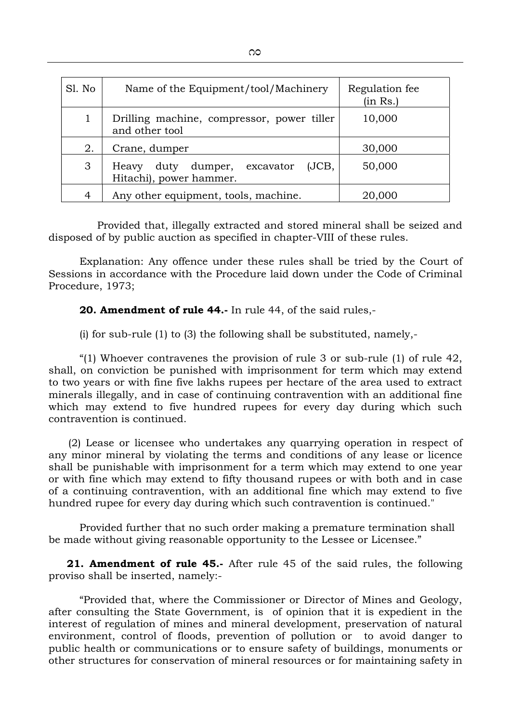| Sl. No | Name of the Equipment/tool/Machinery                                   | Regulation fee<br>(in Rs.) |
|--------|------------------------------------------------------------------------|----------------------------|
|        | Drilling machine, compressor, power tiller<br>10,000<br>and other tool |                            |
| 2.     | Crane, dumper                                                          | 30,000                     |
| 3      | duty dumper, excavator<br>(JCB,<br>Heavy<br>Hitachi), power hammer.    | 50,000                     |
| 4      | Any other equipment, tools, machine.                                   | 20,000                     |

 Provided that, illegally extracted and stored mineral shall be seized and disposed of by public auction as specified in chapter-VIII of these rules.

Explanation: Any offence under these rules shall be tried by the Court of Sessions in accordance with the Procedure laid down under the Code of Criminal Procedure, 1973;

20. Amendment of rule 44.- In rule 44, of the said rules,-

(i) for sub-rule (1) to (3) the following shall be substituted, namely,-

"(1) Whoever contravenes the provision of rule 3 or sub-rule (1) of rule 42, shall, on conviction be punished with imprisonment for term which may extend to two years or with fine five lakhs rupees per hectare of the area used to extract minerals illegally, and in case of continuing contravention with an additional fine which may extend to five hundred rupees for every day during which such contravention is continued.

 (2) Lease or licensee who undertakes any quarrying operation in respect of any minor mineral by violating the terms and conditions of any lease or licence shall be punishable with imprisonment for a term which may extend to one year or with fine which may extend to fifty thousand rupees or with both and in case of a continuing contravention, with an additional fine which may extend to five hundred rupee for every day during which such contravention is continued."

Provided further that no such order making a premature termination shall be made without giving reasonable opportunity to the Lessee or Licensee."

21. Amendment of rule 45.- After rule 45 of the said rules, the following proviso shall be inserted, namely:-

"Provided that, where the Commissioner or Director of Mines and Geology, after consulting the State Government, is of opinion that it is expedient in the interest of regulation of mines and mineral development, preservation of natural environment, control of floods, prevention of pollution or to avoid danger to public health or communications or to ensure safety of buildings, monuments or other structures for conservation of mineral resources or for maintaining safety in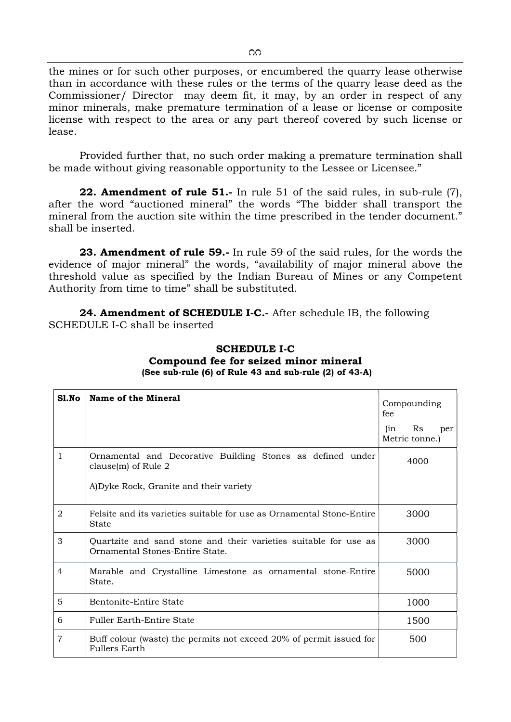the mines or for such other purposes, or encumbered the quarry lease otherwise than in accordance with these rules or the terms of the quarry lease deed as the Commissioner/ Director may deem fit, it may, by an order in respect of any minor minerals, make premature termination of a lease or license or composite license with respect to the area or any part thereof covered by such license or lease.

Provided further that, no such order making a premature termination shall be made without giving reasonable opportunity to the Lessee or Licensee."

22. Amendment of rule 51.- In rule 51 of the said rules, in sub-rule (7), after the word "auctioned mineral" the words "The bidder shall transport the mineral from the auction site within the time prescribed in the tender document." shall be inserted.

23. Amendment of rule 59.- In rule 59 of the said rules, for the words the evidence of major mineral" the words, "availability of major mineral above the threshold value as specified by the Indian Bureau of Mines or any Competent Authority from time to time" shall be substituted.

24. Amendment of SCHEDULE I-C.- After schedule IB, the following SCHEDULE I-C shall be inserted

| S1.No          | Name of the Mineral                                                                                 | Compounding<br>fee                 |  |
|----------------|-----------------------------------------------------------------------------------------------------|------------------------------------|--|
|                |                                                                                                     | Rs<br>(in<br>per<br>Metric tonne.) |  |
| $\mathbf{1}$   | Ornamental and Decorative Building Stones as defined under<br>clause $(m)$ of Rule 2                | 4000                               |  |
|                | A) Dyke Rock, Granite and their variety                                                             |                                    |  |
| $\overline{2}$ | Felsite and its varieties suitable for use as Ornamental Stone-Entire<br>State                      | 3000                               |  |
| 3              | Quartzite and sand stone and their varieties suitable for use as<br>Ornamental Stones-Entire State. | 3000                               |  |
| 4              | Marable and Crystalline Limestone as ornamental stone-Entire<br>State.                              | 5000                               |  |
| 5              | Bentonite-Entire State<br>1000                                                                      |                                    |  |
| 6              | <b>Fuller Earth-Entire State</b>                                                                    | 1500                               |  |
| $\overline{7}$ | Buff colour (waste) the permits not exceed 20% of permit issued for<br><b>Fullers Earth</b>         | 500                                |  |

SCHEDULE I-C Compound fee for seized minor mineral (See sub-rule (6) of Rule 43 and sub-rule (2) of 43-A)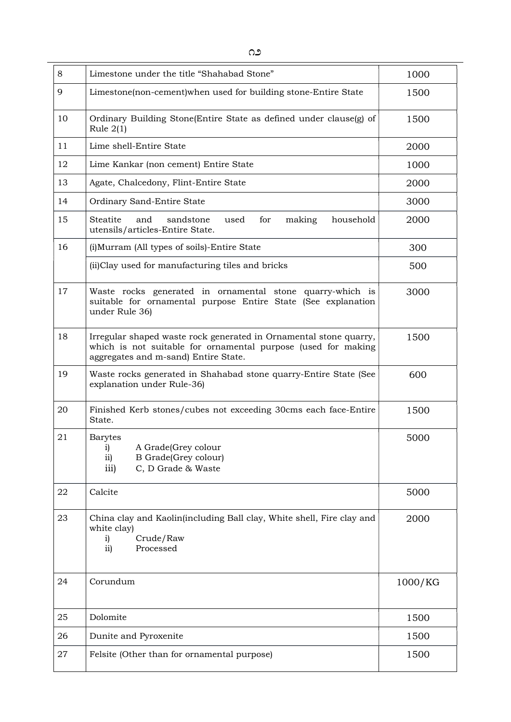| 8  | Limestone under the title "Shahabad Stone"                                                                                                                                 | 1000    |  |
|----|----------------------------------------------------------------------------------------------------------------------------------------------------------------------------|---------|--|
| 9  | Limestone(non-cement) when used for building stone-Entire State                                                                                                            | 1500    |  |
| 10 | Ordinary Building Stone(Entire State as defined under clause(g) of<br>Rule $2(1)$                                                                                          | 1500    |  |
| 11 | Lime shell-Entire State                                                                                                                                                    | 2000    |  |
| 12 | Lime Kankar (non cement) Entire State                                                                                                                                      | 1000    |  |
| 13 | Agate, Chalcedony, Flint-Entire State                                                                                                                                      | 2000    |  |
| 14 | Ordinary Sand-Entire State                                                                                                                                                 | 3000    |  |
| 15 | Steatite<br>household<br>and<br>sandstone<br>for<br>making<br>used<br>utensils/articles-Entire State.                                                                      | 2000    |  |
| 16 | (i) Murram (All types of soils)-Entire State                                                                                                                               | 300     |  |
|    | (ii)Clay used for manufacturing tiles and bricks                                                                                                                           | 500     |  |
| 17 | Waste rocks generated in ornamental stone quarry-which is<br>3000<br>suitable for ornamental purpose Entire State (See explanation<br>under Rule 36)                       |         |  |
| 18 | Irregular shaped waste rock generated in Ornamental stone quarry,<br>which is not suitable for ornamental purpose (used for making<br>aggregates and m-sand) Entire State. | 1500    |  |
| 19 | Waste rocks generated in Shahabad stone quarry-Entire State (See<br>explanation under Rule-36)                                                                             | 600     |  |
| 20 | Finished Kerb stones/cubes not exceeding 30cms each face-Entire<br>State.                                                                                                  | 1500    |  |
| 21 | <b>Barytes</b><br>A Grade(Grey colour<br>i)<br><b>B</b> Grade(Grey colour)<br>$\overline{11}$<br>C, D Grade & Waste<br>$\overline{111}$                                    | 5000    |  |
| 22 | Calcite                                                                                                                                                                    | 5000    |  |
| 23 | China clay and Kaolin(including Ball clay, White shell, Fire clay and<br>white clay)<br>Crude/Raw<br>i)<br>Processed<br>ii)                                                | 2000    |  |
| 24 | Corundum                                                                                                                                                                   | 1000/KG |  |
| 25 | Dolomite                                                                                                                                                                   | 1500    |  |
| 26 | Dunite and Pyroxenite                                                                                                                                                      | 1500    |  |
| 27 | Felsite (Other than for ornamental purpose)<br>1500                                                                                                                        |         |  |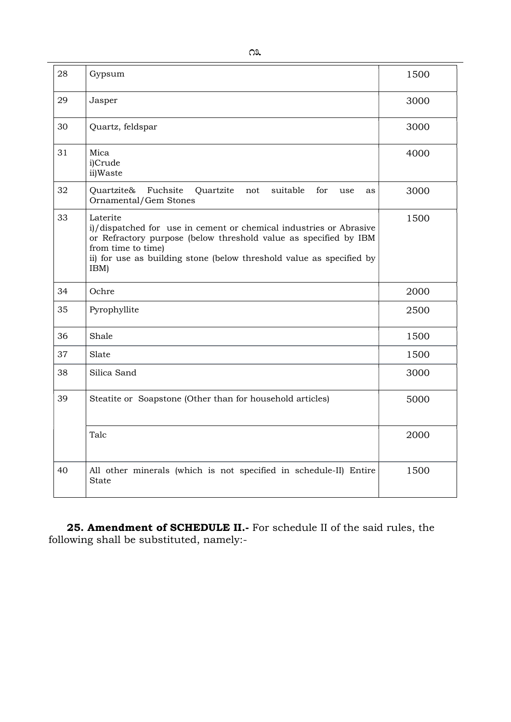| 28 | Gypsum                                                                                                                                                                                                                                                   | 1500 |
|----|----------------------------------------------------------------------------------------------------------------------------------------------------------------------------------------------------------------------------------------------------------|------|
| 29 | Jasper                                                                                                                                                                                                                                                   | 3000 |
| 30 | Quartz, feldspar                                                                                                                                                                                                                                         | 3000 |
| 31 | Mica<br>i)Crude<br>ii)Waste                                                                                                                                                                                                                              | 4000 |
| 32 | Quartzite<br>suitable<br>Quartzite&<br>Fuchsite<br>for<br>not<br>use<br>as<br>Ornamental/Gem Stones                                                                                                                                                      | 3000 |
| 33 | Laterite<br>i)/dispatched for use in cement or chemical industries or Abrasive<br>or Refractory purpose (below threshold value as specified by IBM<br>from time to time)<br>ii) for use as building stone (below threshold value as specified by<br>IBM) | 1500 |
| 34 | Ochre                                                                                                                                                                                                                                                    | 2000 |
| 35 | Pyrophyllite                                                                                                                                                                                                                                             | 2500 |
| 36 | Shale                                                                                                                                                                                                                                                    | 1500 |
| 37 | Slate                                                                                                                                                                                                                                                    | 1500 |
| 38 | Silica Sand                                                                                                                                                                                                                                              | 3000 |
| 39 | Steatite or Soapstone (Other than for household articles)                                                                                                                                                                                                | 5000 |
|    | Talc                                                                                                                                                                                                                                                     | 2000 |
| 40 | All other minerals (which is not specified in schedule-II) Entire<br>State                                                                                                                                                                               | 1500 |

25. Amendment of SCHEDULE II.- For schedule II of the said rules, the following shall be substituted, namely:-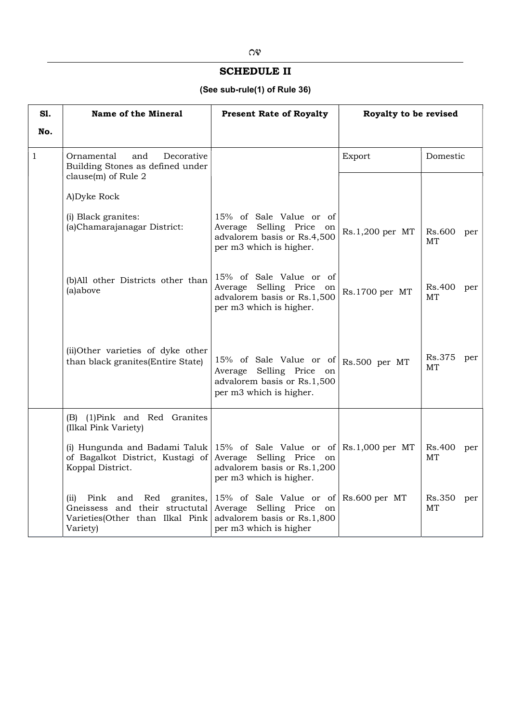## SCHEDULE II

## (See sub-rule(1) of Rule 36)

| <b>S1.</b>   | <b>Name of the Mineral</b>                                                                                                               | <b>Present Rate of Royalty</b>                                                                                      | Royalty to be revised |                     |
|--------------|------------------------------------------------------------------------------------------------------------------------------------------|---------------------------------------------------------------------------------------------------------------------|-----------------------|---------------------|
| No.          |                                                                                                                                          |                                                                                                                     |                       |                     |
| $\mathbf{1}$ | Decorative<br>Ornamental<br>and<br>Building Stones as defined under<br>clause(m) of Rule 2                                               |                                                                                                                     | Export                | Domestic            |
|              | A) Dyke Rock                                                                                                                             |                                                                                                                     |                       |                     |
|              | (i) Black granites:<br>(a)Chamarajanagar District:                                                                                       | 15% of Sale Value or of<br>Selling Price on<br>Average<br>advalorem basis or Rs.4,500<br>per m3 which is higher.    | Rs.1,200 per MT       | Rs.600<br>per<br>MT |
|              | (b)All other Districts other than<br>(a)above                                                                                            | 15% of Sale Value or of<br>Selling Price<br>Average<br>on<br>advalorem basis or Rs.1,500<br>per m3 which is higher. | Rs.1700 per MT        | Rs.400<br>per<br>MT |
|              | (ii)Other varieties of dyke other<br>than black granites(Entire State)                                                                   | 15% of Sale Value or of<br>Selling Price<br>Average<br>on<br>advalorem basis or Rs.1,500<br>per m3 which is higher. | Rs.500 per MT         | Rs.375<br>per<br>MT |
|              | (B) (1) Pink and Red Granites<br>(Ilkal Pink Variety)                                                                                    |                                                                                                                     |                       |                     |
|              | (i) Hungunda and Badami Taluk 15% of Sale Value or of $\mathbb{R}$ .1,000 per MT<br>of Bagalkot District, Kustagi of<br>Koppal District. | Average Selling Price<br>on<br>advalorem basis or Rs.1,200<br>per m3 which is higher.                               |                       | Rs.400<br>per<br>MT |
|              | Pink<br>Red<br>granites,<br>(ii)<br>and<br>and their structutal<br>Gneissess<br>Varieties(Other than Ilkal Pink<br>Variety)              | 15% of Sale Value or of<br>Average<br>Selling Price<br>on<br>advalorem basis or Rs.1,800<br>per m3 which is higher  | Rs.600 per MT         | Rs.350<br>per<br>MT |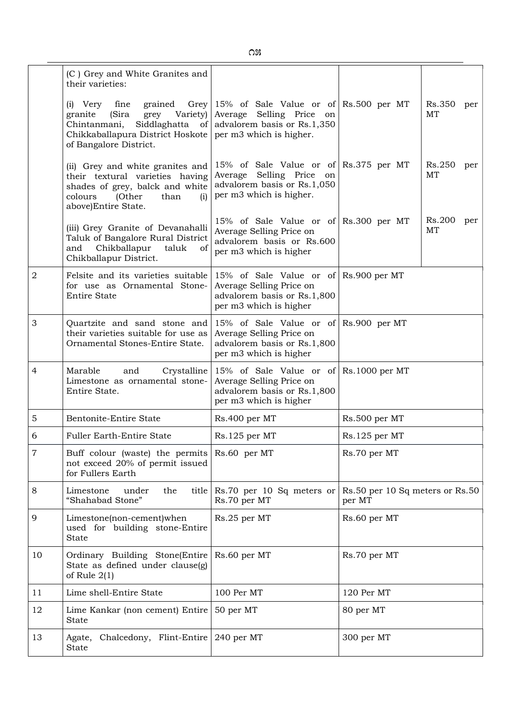|       | (C) Grey and White Granites and<br>their varieties:                                                                                                               |                                                                                                                                                             |                                           |
|-------|-------------------------------------------------------------------------------------------------------------------------------------------------------------------|-------------------------------------------------------------------------------------------------------------------------------------------------------------|-------------------------------------------|
|       | grained<br>(i) Very<br>fine<br>grey Variety)<br>(Sira<br>granite<br>Chintanmani,<br>Chikkaballapura District Hoskote<br>of Bangalore District.                    | Grey $15\%$ of Sale Value or of Rs.500 per MT<br>Average<br>Selling Price<br>on<br>Siddlaghatta of advalorem basis or $Rs.1,350$<br>per m3 which is higher. | Rs.350<br>per<br>MT                       |
|       | (ii) Grey and white granites and<br>their textural varieties having<br>shades of grey, balck and white<br>colours<br>(Other<br>than<br>(i)<br>above)Entire State. | 15% of Sale Value or of Rs.375 per MT<br>Selling Price<br>Average<br>on<br>advalorem basis or Rs.1,050<br>per m3 which is higher.                           | Rs.250<br>per<br>MT                       |
|       | (iii) Grey Granite of Devanahalli<br>Taluk of Bangalore Rural District<br>Chikballapur<br>and<br>taluk<br>of<br>Chikballapur District.                            | 15% of Sale Value or of Rs.300 per MT<br>Average Selling Price on<br>advalorem basis or Rs.600<br>per m3 which is higher                                    | Rs.200<br>per<br>MT                       |
| 2     | Felsite and its varieties suitable<br>for use as Ornamental Stone-<br><b>Entire State</b>                                                                         | 15% of Sale Value or of Rs.900 per MT<br>Average Selling Price on<br>advalorem basis or Rs.1,800<br>per m3 which is higher                                  |                                           |
| 3     | Quartzite and sand stone and<br>their varieties suitable for use as<br>Ornamental Stones-Entire State.                                                            | 15% of Sale Value or of Rs.900 per MT<br>Average Selling Price on<br>advalorem basis or Rs.1,800<br>per m3 which is higher                                  |                                           |
| 4     | Marable<br>and<br>Limestone as ornamental stone-<br>Entire State.                                                                                                 | Crystalline 15% of Sale Value or of<br>Average Selling Price on<br>advalorem basis or Rs.1,800<br>per m3 which is higher                                    | Rs.1000 per MT                            |
| 5     | Bentonite-Entire State                                                                                                                                            | Rs.400 per MT                                                                                                                                               | Rs.500 per MT                             |
| 6     | <b>Fuller Earth-Entire State</b>                                                                                                                                  | Rs.125 per MT                                                                                                                                               | Rs.125 per MT                             |
| $\,7$ | Buff colour (waste) the permits Rs.60 per MT<br>not exceed 20% of permit issued<br>for Fullers Earth                                                              |                                                                                                                                                             | Rs.70 per MT                              |
| 8     | Limestone<br>under<br>the<br>title<br>"Shahabad Stone"                                                                                                            | Rs.70 per 10 Sq meters or<br>Rs.70 per MT                                                                                                                   | Rs.50 per 10 Sq meters or Rs.50<br>per MT |
| 9     | Limestone(non-cement)when<br>used for building stone-Entire<br><b>State</b>                                                                                       | Rs.25 per MT                                                                                                                                                | Rs.60 per MT                              |
| 10    | Ordinary Building Stone(Entire<br>State as defined under clause(g)<br>of Rule $2(1)$                                                                              | Rs.60 per MT                                                                                                                                                | Rs.70 per MT                              |
| 11    | Lime shell-Entire State                                                                                                                                           | 100 Per MT                                                                                                                                                  | 120 Per MT                                |
| 12    | Lime Kankar (non cement) Entire<br><b>State</b>                                                                                                                   | 50 per MT                                                                                                                                                   | 80 per MT                                 |
| 13    | Chalcedony, Flint-Entire<br>Agate,<br><b>State</b>                                                                                                                | 240 per MT                                                                                                                                                  | 300 per MT                                |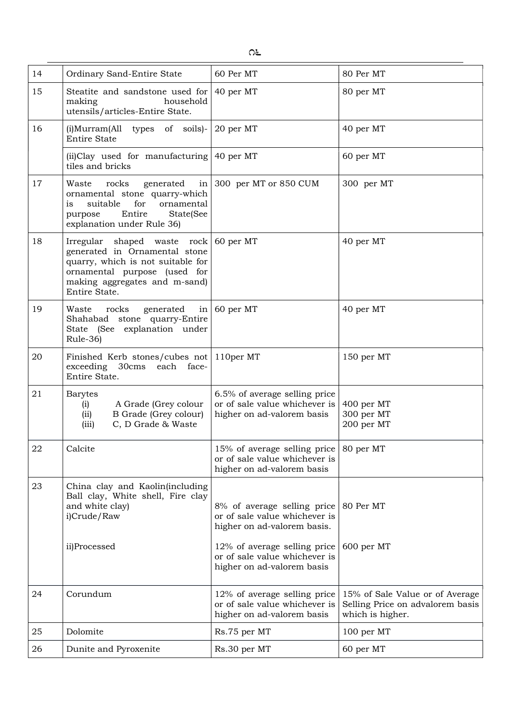| 14 | Ordinary Sand-Entire State                                                                                                                                                                        | 60 Per MT                                                                                    | 80 Per MT                                                                               |
|----|---------------------------------------------------------------------------------------------------------------------------------------------------------------------------------------------------|----------------------------------------------------------------------------------------------|-----------------------------------------------------------------------------------------|
| 15 | Steatite and sandstone used for $\vert$ 40 per MT<br>making<br>household<br>utensils/articles-Entire State.                                                                                       |                                                                                              | 80 per MT                                                                               |
| 16 | (i)Murram(All types of soils)-<br><b>Entire State</b>                                                                                                                                             | 20 per MT                                                                                    | 40 per MT                                                                               |
|    | (ii) Clay used for manufacturing $\vert$ 40 per MT<br>tiles and bricks                                                                                                                            |                                                                                              | 60 per MT                                                                               |
| 17 | rocks<br>Waste<br>ornamental stone quarry-which<br>for<br>ornamental<br>suitable<br>is<br>Entire<br>State(See<br>purpose<br>explanation under Rule 36)                                            | generated in $\vert$ 300 per MT or 850 CUM                                                   | 300 per MT                                                                              |
| 18 | Irregular shaped waste $rock   60$ per MT<br>generated in Ornamental stone<br>quarry, which is not suitable for<br>ornamental purpose (used for<br>making aggregates and m-sand)<br>Entire State. |                                                                                              | 40 per MT                                                                               |
| 19 | generated in $\vert$ 60 per MT<br>Waste<br>rocks<br>Shahabad stone quarry-Entire<br>State (See explanation under<br>Rule-36)                                                                      |                                                                                              | 40 per MT                                                                               |
| 20 | Finished Kerb stones/cubes not   110per MT<br>exceeding 30cms each face-<br>Entire State.                                                                                                         |                                                                                              | 150 per MT                                                                              |
| 21 | <b>Barytes</b><br>(i)<br>A Grade (Grey colour<br>B Grade (Grey colour)<br>(ii)<br>C, D Grade & Waste<br>(iii)                                                                                     | 6.5% of average selling price<br>or of sale value whichever is<br>higher on ad-valorem basis | 400 per MT<br>300 per MT<br>200 per MT                                                  |
| 22 | Calcite                                                                                                                                                                                           | 15% of average selling price<br>or of sale value whichever is<br>higher on ad-valorem basis  | 80 per MT                                                                               |
| 23 | China clay and Kaolin(including<br>Ball clay, White shell, Fire clay<br>and white clay)<br>i)Crude/Raw                                                                                            | 8% of average selling price<br>or of sale value whichever is<br>higher on ad-valorem basis.  | 80 Per MT                                                                               |
|    | ii)Processed                                                                                                                                                                                      | 12% of average selling price<br>or of sale value whichever is<br>higher on ad-valorem basis  | 600 per MT                                                                              |
| 24 | Corundum                                                                                                                                                                                          | 12% of average selling price<br>or of sale value whichever is<br>higher on ad-valorem basis  | 15% of Sale Value or of Average<br>Selling Price on advalorem basis<br>which is higher. |
| 25 | Dolomite                                                                                                                                                                                          | Rs.75 per MT                                                                                 | 100 per MT                                                                              |
| 26 | Dunite and Pyroxenite                                                                                                                                                                             | Rs.30 per MT                                                                                 | 60 per MT                                                                               |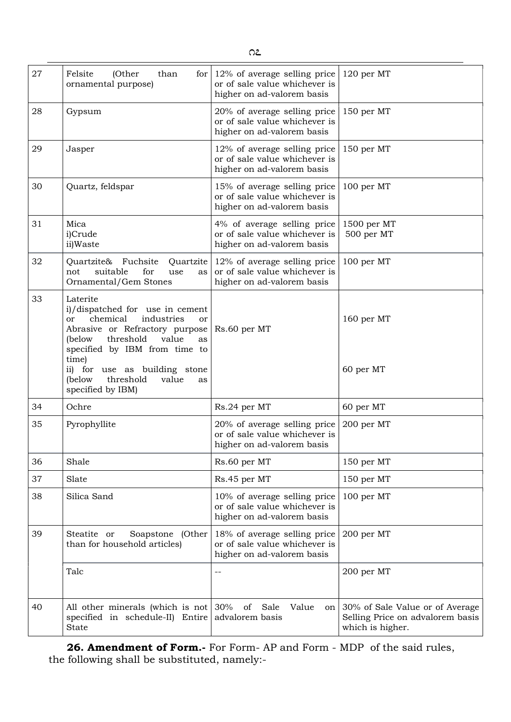| 27 | (Other<br>Felsite<br>than<br>for<br>ornamental purpose)                                                                                                                                             | 12% of average selling price<br>or of sale value whichever is<br>higher on ad-valorem basis | 120 per MT                                                                              |
|----|-----------------------------------------------------------------------------------------------------------------------------------------------------------------------------------------------------|---------------------------------------------------------------------------------------------|-----------------------------------------------------------------------------------------|
| 28 | Gypsum                                                                                                                                                                                              | 20% of average selling price<br>or of sale value whichever is<br>higher on ad-valorem basis | 150 per MT                                                                              |
| 29 | Jasper                                                                                                                                                                                              | 12% of average selling price<br>or of sale value whichever is<br>higher on ad-valorem basis | 150 per MT                                                                              |
| 30 | Quartz, feldspar                                                                                                                                                                                    | 15% of average selling price<br>or of sale value whichever is<br>higher on ad-valorem basis | 100 per MT                                                                              |
| 31 | Mica<br>i)Crude<br>ii)Waste                                                                                                                                                                         | 4% of average selling price<br>or of sale value whichever is<br>higher on ad-valorem basis  | 1500 per MT<br>500 per MT                                                               |
| 32 | Quartzite& Fuchsite<br>Quartzite<br>for<br>suitable<br>not<br>use<br>as<br>Ornamental/Gem Stones                                                                                                    | 12% of average selling price<br>or of sale value whichever is<br>higher on ad-valorem basis | 100 per MT                                                                              |
| 33 | Laterite<br>i)/dispatched for use in cement<br>chemical<br>industries<br>or<br>or<br>Abrasive or Refractory purpose<br>threshold<br>value<br>(below<br>as<br>specified by IBM from time to<br>time) | Rs.60 per MT                                                                                | 160 per MT                                                                              |
|    | ii) for use as building stone<br>(below<br>threshold<br>value<br>as<br>specified by IBM)                                                                                                            |                                                                                             | 60 per MT                                                                               |
| 34 | Ochre                                                                                                                                                                                               | Rs.24 per MT                                                                                | 60 per MT                                                                               |
| 35 | Pyrophyllite                                                                                                                                                                                        | 20% of average selling price<br>or of sale value whichever is<br>higher on ad-valorem basis | 200 per MT                                                                              |
| 36 | Shale                                                                                                                                                                                               | Rs.60 per MT                                                                                | 150 per MT                                                                              |
| 37 | Slate                                                                                                                                                                                               | Rs.45 per MT                                                                                | 150 per MT                                                                              |
| 38 | Silica Sand                                                                                                                                                                                         | 10% of average selling price<br>or of sale value whichever is<br>higher on ad-valorem basis | 100 per MT                                                                              |
| 39 | Steatite or<br>Soapstone (Other<br>than for household articles)                                                                                                                                     | 18% of average selling price<br>or of sale value whichever is<br>higher on ad-valorem basis | 200 per MT                                                                              |
|    | Talc                                                                                                                                                                                                | --                                                                                          | 200 per MT                                                                              |
| 40 | All other minerals (which is not<br>specified in schedule-II) Entire<br><b>State</b>                                                                                                                | 30%<br>Value<br>of<br>Sale<br>on<br>advalorem basis                                         | 30% of Sale Value or of Average<br>Selling Price on advalorem basis<br>which is higher. |

26. Amendment of Form.- For Form- AP and Form - MDP of the said rules, the following shall be substituted, namely:-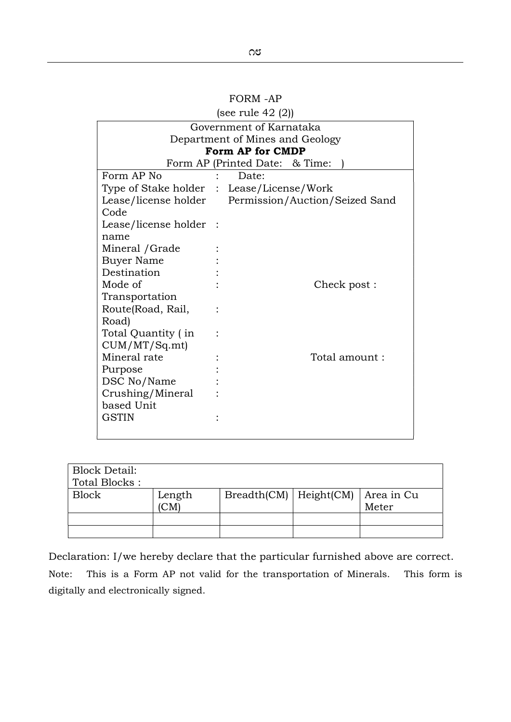| (see ruie 42 (2))               |          |                                                     |  |  |
|---------------------------------|----------|-----------------------------------------------------|--|--|
| Government of Karnataka         |          |                                                     |  |  |
| Department of Mines and Geology |          |                                                     |  |  |
|                                 |          | Form AP for CMDP                                    |  |  |
|                                 |          | Form AP (Printed Date: & Time:                      |  |  |
| Form AP No                      |          | Date:                                               |  |  |
|                                 |          | Type of Stake holder : Lease/License/Work           |  |  |
|                                 |          | Lease/license holder Permission/Auction/Seized Sand |  |  |
| Code                            |          |                                                     |  |  |
| Lease/license holder            | $\ddots$ |                                                     |  |  |
| name                            |          |                                                     |  |  |
| Mineral / Grade                 |          |                                                     |  |  |
| Buyer Name                      |          |                                                     |  |  |
| Destination                     |          |                                                     |  |  |
| Mode of                         |          | Check post :                                        |  |  |
| Transportation                  |          |                                                     |  |  |
| Route(Road, Rail,               |          |                                                     |  |  |
| Road)                           |          |                                                     |  |  |
| Total Quantity (in              |          |                                                     |  |  |
| CUM/MT/Sq.mt)                   |          |                                                     |  |  |
| Mineral rate                    |          | Total amount:                                       |  |  |
| Purpose                         |          |                                                     |  |  |
| DSC No/Name                     |          |                                                     |  |  |
| Crushing/Mineral                |          |                                                     |  |  |
| based Unit                      |          |                                                     |  |  |
| <b>GSTIN</b>                    |          |                                                     |  |  |
|                                 |          |                                                     |  |  |

 $(16.40.10)$ 

| <b>Block Detail:</b><br>Total Blocks: |              |                            |                     |
|---------------------------------------|--------------|----------------------------|---------------------|
| <b>Block</b>                          | Length<br>CM | $Breadth(CM)$   Height(CM) | Area in Cu<br>Meter |
|                                       |              |                            |                     |
|                                       |              |                            |                     |

Declaration: I/we hereby declare that the particular furnished above are correct. Note: This is a Form AP not valid for the transportation of Minerals. This form is digitally and electronically signed.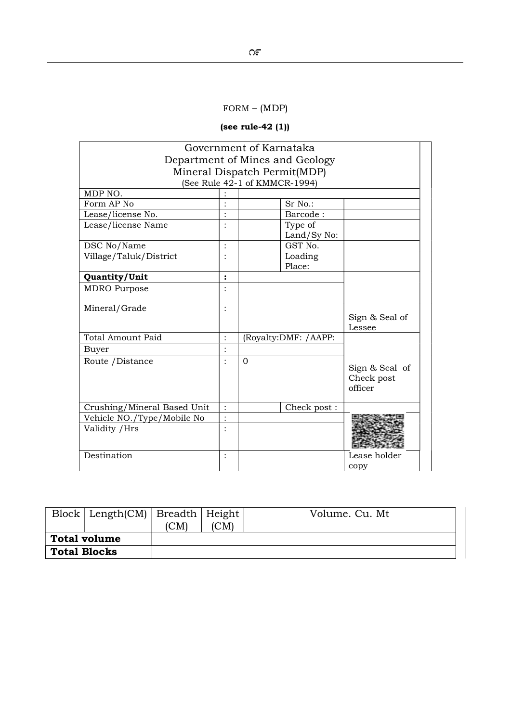# FORM – (MDP)

# (see rule-42 (1))

| Government of Karnataka         |                |                      |                |  |  |  |
|---------------------------------|----------------|----------------------|----------------|--|--|--|
| Department of Mines and Geology |                |                      |                |  |  |  |
| Mineral Dispatch Permit(MDP)    |                |                      |                |  |  |  |
| (See Rule 42-1 of KMMCR-1994)   |                |                      |                |  |  |  |
| MDP $\overline{NO}$ .           |                |                      |                |  |  |  |
| Form AP No                      |                | Sr No.:              |                |  |  |  |
| Lease/license No.               |                | Barcode:             |                |  |  |  |
| Lease/license Name              |                | Type of              |                |  |  |  |
|                                 |                | Land/Sy No:          |                |  |  |  |
| DSC No/Name                     |                | GST No.              |                |  |  |  |
| Village/Taluk/District          |                | Loading              |                |  |  |  |
|                                 |                | Place:               |                |  |  |  |
| Quantity/Unit                   | $\ddot{\cdot}$ |                      |                |  |  |  |
| <b>MDRO</b> Purpose             |                |                      |                |  |  |  |
|                                 |                |                      |                |  |  |  |
| Mineral/Grade                   |                |                      |                |  |  |  |
|                                 |                |                      | Sign & Seal of |  |  |  |
|                                 |                |                      | Lessee         |  |  |  |
| <b>Total Amount Paid</b>        |                | (Royalty:DMF: /AAPP: |                |  |  |  |
| <b>Buyer</b>                    |                |                      |                |  |  |  |
| Route / Distance                |                | $\Omega$             |                |  |  |  |
|                                 |                |                      | Sign & Seal of |  |  |  |
|                                 |                |                      | Check post     |  |  |  |
|                                 |                |                      | officer        |  |  |  |
| Crushing/Mineral Based Unit     |                | Check post:          |                |  |  |  |
| Vehicle NO./Type/Mobile No      | $\ddot{\cdot}$ |                      |                |  |  |  |
| Validity / Hrs                  |                |                      |                |  |  |  |
|                                 |                |                      |                |  |  |  |
|                                 |                |                      |                |  |  |  |
| Destination                     |                |                      | Lease holder   |  |  |  |
|                                 |                |                      | copy           |  |  |  |

|                     | $Block   Length(CM)   Break1   Height  $ | (CM) | (CM) | Volume. Cu. Mt |
|---------------------|------------------------------------------|------|------|----------------|
| <b>Total volume</b> |                                          |      |      |                |
| <b>Total Blocks</b> |                                          |      |      |                |